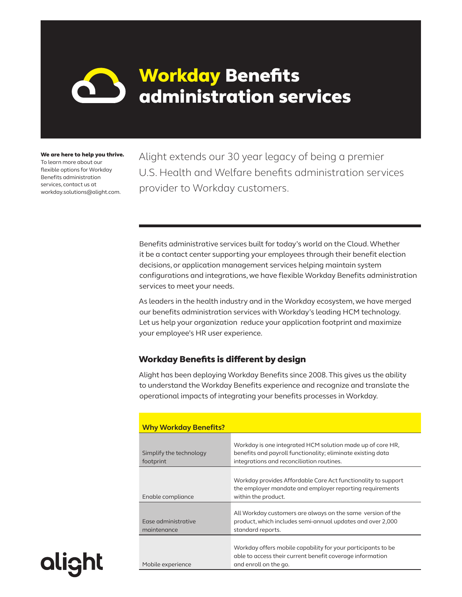# Workday Benefits administration services

We are here to help you thrive. To learn more about our flexible options for Workday Benefits administration services, contact us at workday.solutions@alight.com.

**alight** 

Alight extends our 30 year legacy of being a premier U.S. Health and Welfare benefits administration services provider to Workday customers.

Benefits administrative services built for today's world on the Cloud. Whether it be a contact center supporting your employees through their benefit election decisions, or application management services helping maintain system configurations and integrations, we have flexible Workday Benefits administration services to meet your needs.

As leaders in the health industry and in the Workday ecosystem, we have merged our benefits administration services with Workday's leading HCM technology. Let us help your organization reduce your application footprint and maximize your employee's HR user experience.

### Workday Benefits is different by design

Alight has been deploying Workday Benefits since 2008. This gives us the ability to understand the Workday Benefits experience and recognize and translate the operational impacts of integrating your benefits processes in Workday.

| <b>Why Workday Benefits?</b>       |                                                                                                                                                    |
|------------------------------------|----------------------------------------------------------------------------------------------------------------------------------------------------|
| Simplify the technology            | Workday is one integrated HCM solution made up of core HR,<br>benefits and payroll functionality; eliminate existing data                          |
| footprint                          | integrations and reconciliation routines.                                                                                                          |
| Enable compliance                  | Workday provides Affordable Care Act functionality to support<br>the employer mandate and employer reporting requirements<br>within the product.   |
| Ease administrative<br>maintenance | All Workday customers are always on the same version of the<br>product, which includes semi-annual updates and over 2,000<br>standard reports.     |
| Mobile experience                  | Workday offers mobile capability for your participants to be<br>able to access their current benefit coverage information<br>and enroll on the go. |